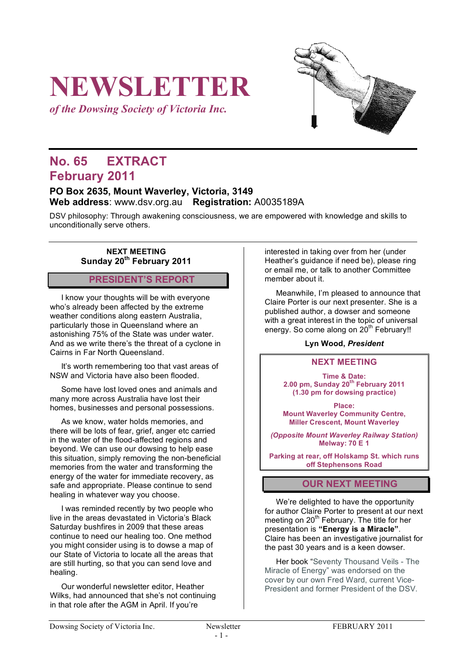# **NEWSLETTER**

*of the Dowsing Society of Victoria Inc.*

# **No. 65 EXTRACT February 2011**

## **PO Box 2635, Mount Waverley, Victoria, 3149 Web address**: www.dsv.org.au **Registration:** A0035189A

DSV philosophy: Through awakening consciousness, we are empowered with knowledge and skills to unconditionally serve others.

### **NEXT MEETING Sunday 20th February 2011**

# **PRESIDENT'S REPORT**

I know your thoughts will be with everyone who's already been affected by the extreme weather conditions along eastern Australia, particularly those in Queensland where an astonishing 75% of the State was under water. And as we write there's the threat of a cyclone in Cairns in Far North Queensland.

It's worth remembering too that vast areas of NSW and Victoria have also been flooded.

Some have lost loved ones and animals and many more across Australia have lost their homes, businesses and personal possessions.

As we know, water holds memories, and there will be lots of fear, grief, anger etc carried in the water of the flood-affected regions and beyond. We can use our dowsing to help ease this situation, simply removing the non-beneficial memories from the water and transforming the energy of the water for immediate recovery, as safe and appropriate. Please continue to send healing in whatever way you choose.

I was reminded recently by two people who live in the areas devastated in Victoria's Black Saturday bushfires in 2009 that these areas continue to need our healing too. One method you might consider using is to dowse a map of our State of Victoria to locate all the areas that are still hurting, so that you can send love and healing.

Our wonderful newsletter editor, Heather Wilks, had announced that she's not continuing in that role after the AGM in April. If you're

interested in taking over from her (under Heather's guidance if need be), please ring or email me, or talk to another Committee member about it.

Meanwhile, I'm pleased to announce that Claire Porter is our next presenter. She is a published author, a dowser and someone with a great interest in the topic of universal energy. So come along on 20<sup>th</sup> February!!

#### **Lyn Wood,** *President*

#### **NEXT MEETING**

**Time & Date: 2.00 pm, Sunday 20th February 2011 (1.30 pm for dowsing practice)**

**Place: Mount Waverley Community Centre, Miller Crescent, Mount Waverley**

*(Opposite Mount Waverley Railway Station)* **Melway: 70 E 1**

**Parking at rear, off Holskamp St. which runs off Stephensons Road**

#### **OUR NEXT MEETING**

We're delighted to have the opportunity for author Claire Porter to present at our next meeting on 20<sup>th</sup> February. The title for her presentation is **"Energy is a Miracle"**. Claire has been an investigative journalist for the past 30 years and is a keen dowser.

Her book "Seventy Thousand Veils - The Miracle of Energy" was endorsed on the cover by our own Fred Ward, current Vice-President and former President of the DSV.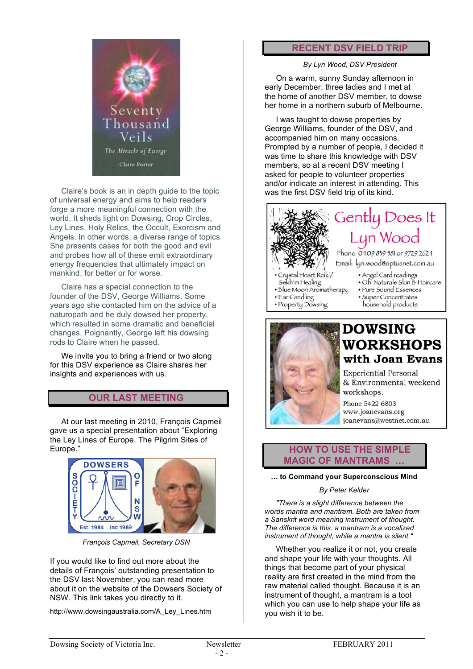

Claire's book is an in depth guide to the topic of universal energy and aims to help readers forge a more meaningful connection with the world. It sheds light on Dowsing, Crop Circles, Ley Lines, Holy Relics, the Occult, Exorcism and Angels. In other words, a diverse range of topics. She presents cases for both the good and evil and probes how all of these emit extraordinary energy frequencies that ultimately impact on mankind, for better or for worse.

Claire has a special connection to the founder of the DSV, George Williams. Some years ago she contacted him on the advice of a naturopath and he duly dowsed her property, which resulted in some dramatic and beneficial changes. Poignantly, George left his dowsing rods to Claire when he passed.

We invite you to bring a friend or two along for this DSV experience as Claire shares her insights and experiences with us.

# **OUR LAST MEETING**

At our last meeting in 2010, François Capmeil gave us a special presentation about "Exploring the Ley Lines of Europe. The Pilgrim Sites of Europe."



*François Capmeil, Secretary DSN*

If you would like to find out more about the details of François' outstanding presentation to the DSV last November, you can read more about it on the website of the Dowsers Society of NSW. This link takes you directly to it.

http://www.dowsingaustralia.com/A\_Ley\_Lines.htm

#### **RECENT DSV FIELD TRIP**

*By Lyn Wood, DSV President*

On a warm, sunny Sunday afternoon in early December, three ladies and I met at the home of another DSV member, to dowse her home in a northern suburb of Melbourne.

I was taught to dowse properties by George Williams, founder of the DSV, and accompanied him on many occasions. Prompted by a number of people, I decided it was time to share this knowledge with DSV members, so at a recent DSV meeting I asked for people to volunteer properties and/or indicate an interest in attending. This was the first DSV field trip of its kind.





# **DOWSING WORKSHOPS** with Joan Evans

**Experiential Personal** & Environmental weekend workshops. Phone 5422 6803

www.joanevans.org joanevans@westnet.com.au



#### **… to Command your Superconscious Mind**

#### *By Peter Kelder*

*"There is a slight difference between the words mantra and mantram. Both are taken from a Sanskrit word meaning instrument of thought. The difference is this: a mantram is a vocalized instrument of thought, while a mantra is silent."*

Whether you realize it or not, you create and shape your life with your thoughts. All things that become part of your physical reality are first created in the mind from the raw material called thought. Because it is an instrument of thought, a mantram is a tool which you can use to help shape your life as you wish it to be.